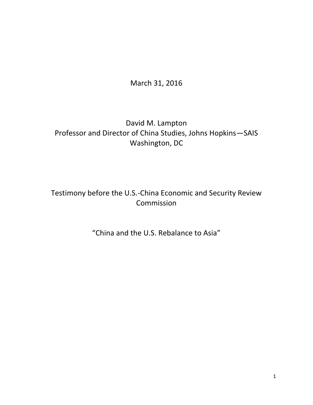March 31, 2016

### David M. Lampton Professor and Director of China Studies, Johns Hopkins—SAIS Washington, DC

## Testimony before the U.S.-China Economic and Security Review Commission

# "China and the U.S. Rebalance to Asia"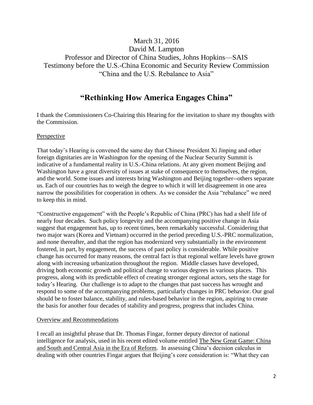### March 31, 2016 David M. Lampton Professor and Director of China Studies, Johns Hopkins—SAIS Testimony before the U.S.-China Economic and Security Review Commission "China and the U.S. Rebalance to Asia"

### **"Rethinking How America Engages China"**

I thank the Commissioners Co-Chairing this Hearing for the invitation to share my thoughts with the Commission.

#### Perspective

That today's Hearing is convened the same day that Chinese President Xi Jinping and other foreign dignitaries are in Washington for the opening of the Nuclear Security Summit is indicative of a fundamental reality in U.S.-China relations. At any given moment Beijing and Washington have a great diversity of issues at stake of consequence to themselves, the region, and the world. Some issues and interests bring Washington and Beijing together--others separate us. Each of our countries has to weigh the degree to which it will let disagreement in one area narrow the possibilities for cooperation in others. As we consider the Asia "rebalance" we need to keep this in mind.

"Constructive engagement" with the People's Republic of China (PRC) has had a shelf life of nearly four decades. Such policy longevity and the accompanying positive change in Asia suggest that engagement has, up to recent times, been remarkably successful. Considering that two major wars (Korea and Vietnam) occurred in the period preceding U.S.-PRC normalization, and none thereafter, and that the region has modernized very substantially in the environment fostered, in part, by engagement, the success of past policy is considerable. While positive change has occurred for many reasons, the central fact is that regional welfare levels have grown along with increasing urbanization throughout the region. Middle classes have developed, driving both economic growth and political change to various degrees in various places. This progress, along with its predictable effect of creating stronger regional actors, sets the stage for today's Hearing. Our challenge is to adapt to the changes that past success has wrought and respond to some of the accompanying problems, particularly changes in PRC behavior. Our goal should be to foster balance, stability, and rules-based behavior in the region, aspiring to create the basis for another four decades of stability and progress, progress that includes China.

#### Overview and Recommendations

I recall an insightful phrase that Dr. Thomas Fingar, former deputy director of national intelligence for analysis, used in his recent edited volume entitled The New Great Game: China and South and Central Asia in the Era of Reform. In assessing China's decision calculus in dealing with other countries Fingar argues that Beijing's core consideration is: "What they can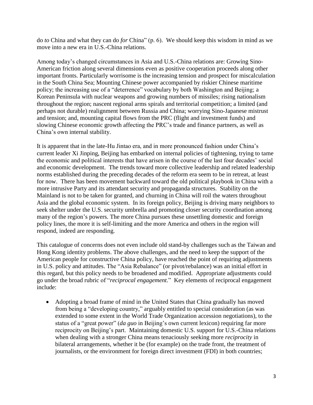do *to* China and what they can do *for* China" (p. 6). We should keep this wisdom in mind as we move into a new era in U.S.-China relations.

Among today's changed circumstances in Asia and U.S.-China relations are: Growing Sino-American friction along several dimensions even as positive cooperation proceeds along other important fronts. Particularly worrisome is the increasing tension and prospect for miscalculation in the South China Sea; Mounting Chinese power accompanied by riskier Chinese maritime policy; the increasing use of a "deterrence" vocabulary by both Washington and Beijing; a Korean Peninsula with nuclear weapons and growing numbers of missiles; rising nationalism throughout the region; nascent regional arms spirals and territorial competition; a limited (and perhaps not durable) realignment between Russia and China; worrying Sino-Japanese mistrust and tension; and, mounting capital flows from the PRC (flight and investment funds) and slowing Chinese economic growth affecting the PRC's trade and finance partners, as well as China's own internal stability.

It is apparent that in the late-Hu Jintao era, and in more pronounced fashion under China's current leader Xi Jinping, Beijing has embarked on internal policies of tightening, trying to tame the economic and political interests that have arisen in the course of the last four decades' social and economic development. The trends toward more collective leadership and related leadership norms established during the preceding decades of the reform era seem to be in retreat, at least for now. There has been movement backward toward the old political playbook in China with a more intrusive Party and its attendant security and propaganda structures. Stability on the Mainland is not to be taken for granted, and churning in China will roil the waters throughout Asia and the global economic system. In its foreign policy, Beijing is driving many neighbors to seek shelter under the U.S. security umbrella and promoting closer security coordination among many of the region's powers. The more China pursues these unsettling domestic and foreign policy lines, the more it is self-limiting and the more America and others in the region will respond, indeed are responding.

This catalogue of concerns does not even include old stand-by challenges such as the Taiwan and Hong Kong identity problems. The above challenges, and the need to keep the support of the American people for constructive China policy, have reached the point of requiring adjustments in U.S. policy and attitudes. The "Asia Rebalance" (or pivot/rebalance) was an initial effort in this regard, but this policy needs to be broadened and modified. Appropriate adjustments could go under the broad rubric of "*reciprocal engagement.*" Key elements of reciprocal engagement include:

 Adopting a broad frame of mind in the United States that China gradually has moved from being a "developing country," arguably entitled to special consideration (as was extended to some extent in the World Trade Organization accession negotiations), to the status of a "great power" (*da guo* in Beijing's own current lexicon) requiring far more reciprocity on Beijing's part. Maintaining domestic U.S. support for U.S.-China relations when dealing with a stronger China means tenaciously seeking more *reciprocity* in bilateral arrangements, whether it be (for example) on the trade front, the treatment of journalists, or the environment for foreign direct investment (FDI) in both countries;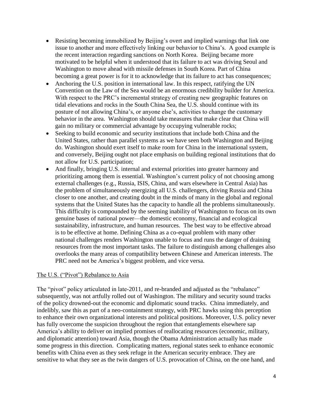- Resisting becoming immobilized by Beijing's overt and implied warnings that link one issue to another and more effectively linking our behavior to China's. A good example is the recent interaction regarding sanctions on North Korea. Beijing became more motivated to be helpful when it understood that its failure to act was driving Seoul and Washington to move ahead with missile defenses in South Korea. Part of China becoming a great power is for it to acknowledge that its failure to act has consequences;
- Anchoring the U.S. position in international law. In this respect, ratifying the UN Convention on the Law of the Sea would be an enormous credibility builder for America. With respect to the PRC's incremental strategy of creating new geographic features on tidal elevations and rocks in the South China Sea, the U.S. should continue with its posture of not allowing China's, or anyone else's, activities to change the customary behavior in the area. Washington should take measures that make clear that China will gain no military or commercial advantage by occupying vulnerable rocks;
- Seeking to build economic and security institutions that include both China and the United States, rather than parallel systems as we have seen both Washington and Beijing do. Washington should exert itself to make room for China in the international system, and conversely, Beijing ought not place emphasis on building regional institutions that do not allow for U.S. participation;
- And finally, bringing U.S. internal and external priorities into greater harmony and prioritizing among them is essential. Washington's current policy of not choosing among external challenges (e.g., Russia, ISIS, China, and wars elsewhere in Central Asia) has the problem of simultaneously energizing all U.S. challengers, driving Russia and China closer to one another, and creating doubt in the minds of many in the global and regional systems that the United States has the capacity to handle all the problems simultaneously. This difficulty is compounded by the seeming inability of Washington to focus on its own genuine bases of national power—the domestic economy, financial and ecological sustainability, infrastructure, and human resources. The best way to be effective abroad is to be effective at home. Defining China as a co-equal problem with many other national challenges renders Washington unable to focus and runs the danger of draining resources from the most important tasks. The failure to distinguish among challenges also overlooks the many areas of compatibility between **C**hinese and American interests. The PRC need not be America's biggest problem, and vice versa.

#### The U.S. ("Pivot") Rebalance to Asia

The "pivot" policy articulated in late-2011, and re-branded and adjusted as the "rebalance" subsequently, was not artfully rolled out of Washington. The military and security sound tracks of the policy drowned-out the economic and diplomatic sound tracks. China immediately, and indelibly, saw this as part of a neo-containment strategy, with PRC hawks using this perception to enhance their own organizational interests and political positions. Moreover, U.S. policy never has fully overcome the suspicion throughout the region that entanglements elsewhere sap America's ability to deliver on implied promises of reallocating resources (economic, military, and diplomatic attention) toward Asia, though the Obama Administration actually has made some progress in this direction. Complicating matters, regional states seek to enhance economic benefits with China even as they seek refuge in the American security embrace. They are sensitive to what they see as the twin dangers of U.S. provocation of China, on the one hand, and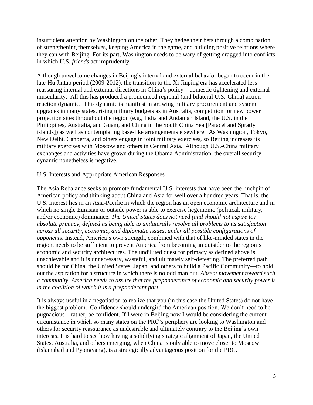insufficient attention by Washington on the other. They hedge their bets through a combination of strengthening themselves, keeping America in the game, and building positive relations where they can with Beijing. For its part, Washington needs to be wary of getting dragged into conflicts in which U.S. *friends* act imprudently.

Although unwelcome changes in Beijing's internal and external behavior began to occur in the late-Hu Jintao period (2009-2012), the transition to the Xi Jinping era has accelerated less reassuring internal and external directions in China's policy—domestic tightening and external muscularity. All this has produced a pronounced regional (and bilateral U.S.-China) actionreaction dynamic. This dynamic is manifest in growing military procurement and system upgrades in many states, rising military budgets as in Australia, competition for new power projection sites throughout the region (e.g., India and Andaman Island, the U.S. in the Philippines, Australia, and Guam, and China in the South China Sea [Paracel and Spratly islands]) as well as contemplating base-like arrangements elsewhere. As Washington, Tokyo, New Delhi, Canberra, and others engage in joint military exercises, so Beijing increases its military exercises with Moscow and others in Central Asia. Although U.S.-China military exchanges and activities have grown during the Obama Administration, the overall security dynamic nonetheless is negative.

#### U.S. Interests and Appropriate American Responses

The Asia Rebalance seeks to promote fundamental U.S. interests that have been the linchpin of American policy and thinking about China and Asia for well over a hundred years. That is, the U.S. interest lies in an Asia-Pacific in which the region has an open economic architecture and in which no single Eurasian or outside power is able to exercise hegemonic (political, military, and/or economic) dominance. *The United States does not need (and should not aspire to) absolute primacy, defined as being able to unilaterally resolve all problems to its satisfaction across all security, economic, and diplomatic issues, under all possible configurations of opponents*. Instead, America's own strength, combined with that of like-minded states in the region, needs to be sufficient to prevent America from becoming an outsider to the region's economic and security architectures. The undiluted quest for primacy as defined above is unachievable and it is unnecessary, wasteful, and ultimately self-defeating. The preferred path should be for China, the United States, Japan, and others to build a Pacific Community—to hold out the aspiration for a structure in which there is no odd man out. *Absent movement toward such a community, America needs to assure that the preponderance of economic and security power is in the coalition of which it is a preponderant part.*

It is always useful in a negotiation to realize that you (in this case the United States) do not have the biggest problem. Confidence should undergird the American position. We don't need to be pugnacious—rather, be confident. If I were in Beijing now I would be considering the current circumstance in which so many states on the PRC's periphery are looking to Washington and others for security reassurance as undesirable and ultimately contrary to the Beijing's own interests. It is hard to see how having a solidifying strategic alignment of Japan, the United States, Australia, and others emerging, when China is only able to move closer to Moscow (Islamabad and Pyongyang), is a strategically advantageous position for the PRC.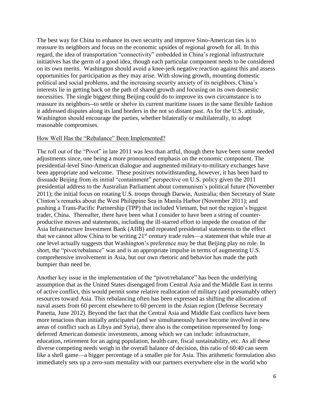The best way for China to enhance its own security and improve Sino-American ties is to reassure its neighbors and focus on the economic upsides of regional growth for all. In this regard, the idea of transportation "connectivity" embedded in China's regional infrastructure initiatives has the germ of a good idea, though each particular component needs to be considered on its own merits. Washington should avoid a knee-jerk negative reaction against this and assess opportunities for participation as they may arise. With slowing growth, mounting domestic political and social problems, and the increasing security anxiety of its neighbors, China's interests lie in getting back on the path of shared growth and focusing on its own domestic necessities. The single biggest thing Beijing could do to improve its own circumstance is to reassure its neighbors--to settle or shelve its current maritime issues in the same flexible fashion it addressed disputes along its land borders in the not so distant past. As for the U.S. attitude, Washington should encourage the parties, whether bilaterally or multilaterally, to adopt reasonable compromises.

#### How Well Has the "Rebalance" Been Implemented?

The roll out of the "Pivot" in late 2011 was less than artful, though there have been some needed adjustments since, one being a more pronounced emphasis on the economic component. The presidential-level Sino-American dialogue and augmented military-to-military exchanges have been appropriate and welcome. These positives notwithstanding, however, it has been hard to dissuade Beijing from its initial "containment" perspective on U.S. policy given the 2011 presidential address to the Australian Parliament about communism's political future (November 2011); the initial focus on rotating U.S. troops through Darwin, Australia; then Secretary of State Clinton's remarks about the West Philippine Sea in Manila Harbor (November 2011); and pushing a Trans-Pacific Partnership (TPP) that included Vietnam, but not the region's biggest trader, China. Thereafter, there have been what I consider to have been a string of counterproductive moves and statements, including the ill-starred effort to impede the creation of the Asia Infrastructure Investment Bank (AIIB) and repeated presidential statements to the effect that we cannot allow China to be writing  $21<sup>st</sup>$  century trade rules—a statement that while true at one level actually suggests that Washington's preference may be that Beijing play no role. In short, the "pivot/rebalance" was and is an appropriate impulse in terms of augmenting U.S. comprehensive involvement in Asia, but our own rhetoric and behavior has made the path bumpier than need be.

Another key issue in the implementation of the "pivot/rebalance" has been the underlying assumption that as the United States disengaged from Central Asia and the Middle East in terms of active conflict, this would permit some relative reallocation of military (and presumably other) resources toward Asia. This rebalancing often has been expressed as shifting the allocation of naval assets from 60 percent elsewhere to 60 percent in the Asian region (Defense Secretary Panetta, June 2012). Beyond the fact that the Central Asia and Middle East conflicts have been more tenacious than initially anticipated (and we simultaneously have become involved in new areas of conflict such as Libya and Syria), there also is the competition represented by longdeferred American domestic investments, among which we can include: infrastructure, education, retirement for an aging population, health care, fiscal sustainability, etc. As all these diverse competing needs weigh in the overall balance of decision, this ratio of 60:40 can seem like a shell game—a bigger percentage of a smaller pie for Asia. This arithmetic formulation also immediately sets up a zero-sum mentality with our partners everywhere else in the world who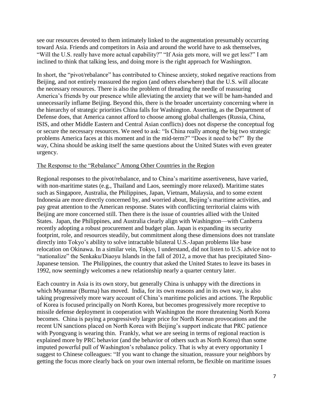see our resources devoted to them intimately linked to the augmentation presumably occurring toward Asia. Friends and competitors in Asia and around the world have to ask themselves, "Will the U.S. really have more actual capability?" "If Asia gets more, will we get less?" I am inclined to think that talking less, and doing more is the right approach for Washington.

In short, the "pivot/rebalance" has contributed to Chinese anxiety, stoked negative reactions from Beijing, and not entirely reassured the region (and others elsewhere) that the U.S. will allocate the necessary resources. There is also the problem of threading the needle of reassuring America's friends by our presence while alleviating the anxiety that we will be ham-handed and unnecessarily inflame Beijing. Beyond this, there is the broader uncertainty concerning where in the hierarchy of strategic priorities China falls for Washington. Asserting, as the Department of Defense does, that America cannot afford to choose among global challenges (Russia, China, ISIS, and other Middle Eastern and Central Asian conflicts) does not disperse the conceptual fog or secure the necessary resources. We need to ask: "Is China really among the big two strategic problems America faces at this moment and in the mid-term?" "Does it need to be?" By the way, China should be asking itself the same questions about the United States with even greater urgency.

#### The Response to the "Rebalance" Among Other Countries in the Region

Regional responses to the pivot/rebalance, and to China's maritime assertiveness, have varied, with non-maritime states (e.g., Thailand and Laos, seemingly more relaxed). Maritime states such as Singapore, Australia, the Philippines, Japan, Vietnam, Malaysia, and to some extent Indonesia are more directly concerned by, and worried about, Beijing's maritime activities, and pay great attention to the American response. States with conflicting territorial claims with Beijing are more concerned still. Then there is the issue of countries allied with the United States. Japan, the Philippines, and Australia clearly align with Washington—with Canberra recently adopting a robust procurement and budget plan. Japan is expanding its security footprint, role, and resources steadily, but commitment along these dimensions does not translate directly into Tokyo's ability to solve intractable bilateral U.S.-Japan problems like base relocation on Okinawa. In a similar vein, Tokyo, I understand, did not listen to U.S. advice not to "nationalize" the Senkaku/Diaoyu Islands in the fall of 2012, a move that has precipitated Sino-Japanese tension. The Philippines, the country that asked the United States to leave its bases in 1992, now seemingly welcomes a new relationship nearly a quarter century later.

Each country in Asia is its own story, but generally China is unhappy with the directions in which Myanmar (Burma) has moved. India, for its own reasons and in its own way, is also taking progressively more wary account of China's maritime policies and actions. The Republic of Korea is focused principally on North Korea, but becomes progressively more receptive to missile defense deployment in cooperation with Washington the more threatening North Korea becomes. China is paying a progressively larger price for North Korean provocations and the recent UN sanctions placed on North Korea with Beijing's support indicate that PRC patience with Pyongyang is wearing thin. Frankly, what we are seeing in terms of regional reaction is explained more by PRC behavior (and the behavior of others such as North Korea) than some imputed powerful pull of Washington's rebalance policy. That is why at every opportunity I suggest to Chinese colleagues: "If you want to change the situation, reassure your neighbors by getting the focus more clearly back on your own internal reform, be flexible on maritime issues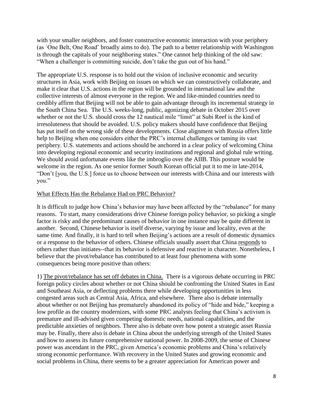with your smaller neighbors, and foster constructive economic interaction with your periphery (as `One Belt, One Road' broadly aims to do). The path to a better relationship with Washington is through the capitals of your neighboring states." One cannot help thinking of the old saw: "When a challenger is committing suicide, don't take the gun out of his hand."

The appropriate U.S. response is to hold out the vision of inclusive economic and security structures in Asia, work with Beijing on issues on which we can constructively collaborate, and make it clear that U.S. actions in the region will be grounded in international law and the collective interests of almost everyone in the region. We and like-minded countries need to credibly affirm that Beijing will not be able to gain advantage through its incremental strategy in the South China Sea. The U.S. weeks-long, public, agonizing debate in October 2015 over whether or not the U.S. should cross the 12 nautical mile "limit" at Subi Reef is the kind of irresoluteness that should be avoided. U.S. policy makers should have confidence that Beijing has put itself on the wrong side of these developments. Close alignment with Russia offers little help to Beijing when one considers either the PRC's internal challenges or taming its vast periphery. U.S. statements and actions should be anchored in a clear policy of welcoming China into developing regional economic and security institutions and regional and global rule writing. We should avoid unfortunate events like the imbroglio over the AIIB. This posture would be welcome in the region. As one senior former South Korean official put it to me in late-2014, "Don't [you, the U.S.] force us to choose between our interests with China and our interests with you."

#### What Effects Has the Rebalance Had on PRC Behavior?

It is difficult to judge how China's behavior may have been affected by the "rebalance" for many reasons. To start, many considerations drive Chinese foreign policy behavior, so picking a single factor is risky and the predominant causes of behavior in one instance may be quite different in another. Second, Chinese behavior is itself diverse, varying by issue and locality, even at the same time. And finally, it is hard to tell when Beijing's actions are a result of domestic dynamics or a response to the behavior of others. Chinese officials usually assert that China responds to others rather than initiates--that its behavior is defensive and reactive in character. Nonetheless, I believe that the pivot/rebalance has contributed to at least four phenomena with some consequences being more positive than others:

1) The pivot/rebalance has set off debates in China. There is a vigorous debate occurring in PRC foreign policy circles about whether or not China should be confronting the United States in East and Southeast Asia, or deflecting problems there while developing opportunities in less congested areas such as Central Asia, Africa, and elsewhere. There also is debate internally about whether or not Beijing has prematurely abandoned its policy of "hide and bide," keeping a low profile as the country modernizes, with some PRC analysts feeling that China's activism is premature and ill-advised given competing domestic needs, national capabilities, and the predictable anxieties of neighbors. There also is debate over how potent a strategic asset Russia may be. Finally, there also is debate in China about the underlying strength of the United States and how to assess its future comprehensive national power. In 2008-2009, the sense of Chinese power was ascendant in the PRC, given America's economic problems and China's relatively strong economic performance. With recovery in the United States and growing economic and social problems in China, there seems to be a greater appreciation for American power and